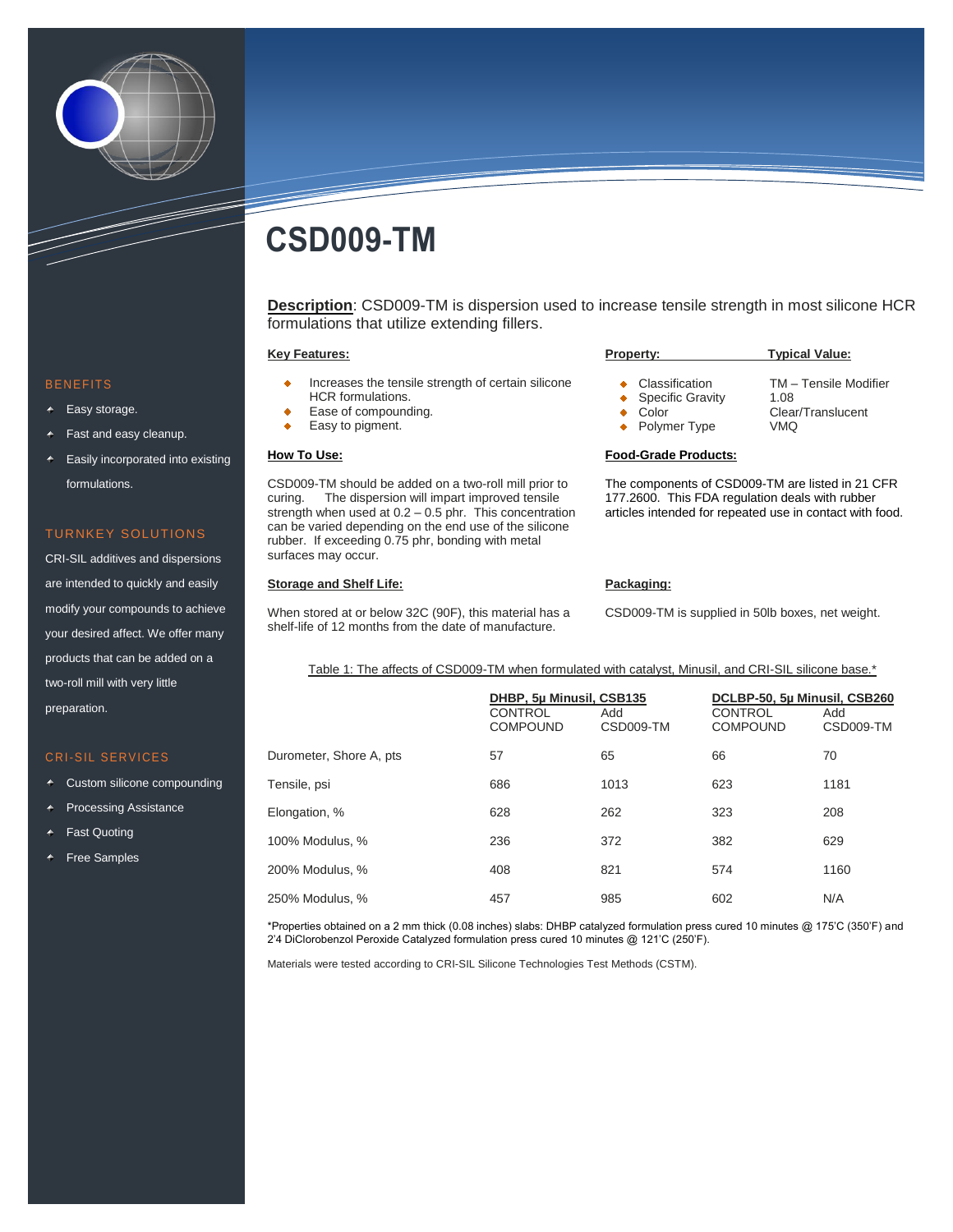

# **CSD009-TM**

**Description**: CSD009-TM is dispersion used to increase tensile strength in most silicone HCR formulations that utilize extending fillers.

#### **Key Features:**

- Increases the tensile strength of certain silicone HCR formulations.
- Ease of compounding. ٠
- Easy to pigment. ä

## **How To Use:**

CSD009-TM should be added on a two-roll mill prior to curing. The dispersion will impart improved tensile strength when used at 0.2 – 0.5 phr. This concentration can be varied depending on the end use of the silicone rubber. If exceeding 0.75 phr, bonding with metal surfaces may occur.

## **Storage and Shelf Life:**

When stored at or below 32C (90F), this material has a shelf-life of 12 months from the date of manufacture.

| <b>Property:</b>                                     | <b>Typical Value:</b>                              |  |  |
|------------------------------------------------------|----------------------------------------------------|--|--|
| • Classification<br>• Specific Gravity<br>Color<br>٠ | TM - Tensile Modifier<br>1.08<br>Clear/Translucent |  |  |
| • Polymer Type                                       | VMO                                                |  |  |

#### **Food-Grade Products:**

The components of CSD009-TM are listed in 21 CFR 177.2600. This FDA regulation deals with rubber articles intended for repeated use in contact with food.

## **Packaging:**

CSD009-TM is supplied in 50lb boxes, net weight.

Table 1: The affects of CSD009-TM when formulated with catalyst, Minusil, and CRI-SIL silicone base.\*

|                         | DHBP, 5µ Minusil, CSB135<br><b>CONTROL</b><br><b>COMPOUND</b> | Add<br>CSD009-TM | DCLBP-50, 5µ Minusil, CSB260<br><b>CONTROL</b><br><b>COMPOUND</b> | Add<br>CSD009-TM |
|-------------------------|---------------------------------------------------------------|------------------|-------------------------------------------------------------------|------------------|
| Durometer, Shore A, pts | 57                                                            | 65               | 66                                                                | 70               |
| Tensile, psi            | 686                                                           | 1013             | 623                                                               | 1181             |
| Elongation, %           | 628                                                           | 262              | 323                                                               | 208              |
| 100% Modulus, %         | 236                                                           | 372              | 382                                                               | 629              |
| 200% Modulus, %         | 408                                                           | 821              | 574                                                               | 1160             |
| 250% Modulus, %         | 457                                                           | 985              | 602                                                               | N/A              |

\*Properties obtained on a 2 mm thick (0.08 inches) slabs: DHBP catalyzed formulation press cured 10 minutes @ 175'C (350'F) and 2'4 DiClorobenzol Peroxide Catalyzed formulation press cured 10 minutes @ 121'C (250'F).

Materials were tested according to CRI-SIL Silicone Technologies Test Methods (CSTM).

#### **BENEFITS**

- Easy storage.
- Fast and easy cleanup.
- Easily incorporated into existing formulations.

## TURNKEY SOLUTIONS

CRI-SIL additives and dispersions are intended to quickly and easily modify your compounds to achieve your desired affect. We offer many products that can be added on a two-roll mill with very little preparation.

## CRI-SIL SERVICES

- Custom silicone compounding
- Processing Assistance
- Fast Quoting
- Free Samples